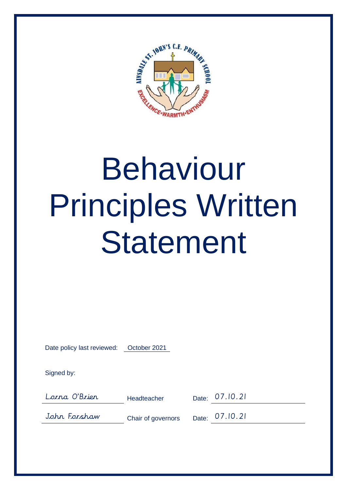

## Behaviour Principles Written **Statement**

Date policy last reviewed: October 2021

Signed by:

Lorna O'Brien Headteacher Date: 07.10.21

John Forshaw Chair of governors Date: 07.10.21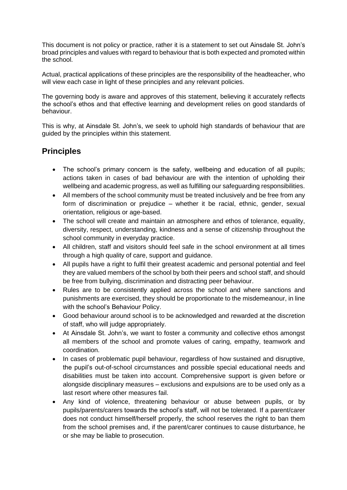This document is not policy or practice, rather it is a statement to set out Ainsdale St. John's broad principles and values with regard to behaviour that is both expected and promoted within the school.

Actual, practical applications of these principles are the responsibility of the headteacher, who will view each case in light of these principles and any relevant policies.

The governing body is aware and approves of this statement, believing it accurately reflects the school's ethos and that effective learning and development relies on good standards of behaviour.

This is why, at Ainsdale St. John's, we seek to uphold high standards of behaviour that are guided by the principles within this statement.

## **Principles**

- The school's primary concern is the safety, wellbeing and education of all pupils; actions taken in cases of bad behaviour are with the intention of upholding their wellbeing and academic progress, as well as fulfilling our safeguarding responsibilities.
- All members of the school community must be treated inclusively and be free from any form of discrimination or prejudice – whether it be racial, ethnic, gender, sexual orientation, religious or age-based.
- The school will create and maintain an atmosphere and ethos of tolerance, equality, diversity, respect, understanding, kindness and a sense of citizenship throughout the school community in everyday practice.
- All children, staff and visitors should feel safe in the school environment at all times through a high quality of care, support and guidance.
- All pupils have a right to fulfil their greatest academic and personal potential and feel they are valued members of the school by both their peers and school staff, and should be free from bullying, discrimination and distracting peer behaviour.
- Rules are to be consistently applied across the school and where sanctions and punishments are exercised, they should be proportionate to the misdemeanour, in line with the school's Behaviour Policy.
- Good behaviour around school is to be acknowledged and rewarded at the discretion of staff, who will judge appropriately.
- At Ainsdale St. John's, we want to foster a community and collective ethos amongst all members of the school and promote values of caring, empathy, teamwork and coordination.
- In cases of problematic pupil behaviour, regardless of how sustained and disruptive, the pupil's out-of-school circumstances and possible special educational needs and disabilities must be taken into account. Comprehensive support is given before or alongside disciplinary measures – exclusions and expulsions are to be used only as a last resort where other measures fail.
- Any kind of violence, threatening behaviour or abuse between pupils, or by pupils/parents/carers towards the school's staff, will not be tolerated. If a parent/carer does not conduct himself/herself properly, the school reserves the right to ban them from the school premises and, if the parent/carer continues to cause disturbance, he or she may be liable to prosecution.